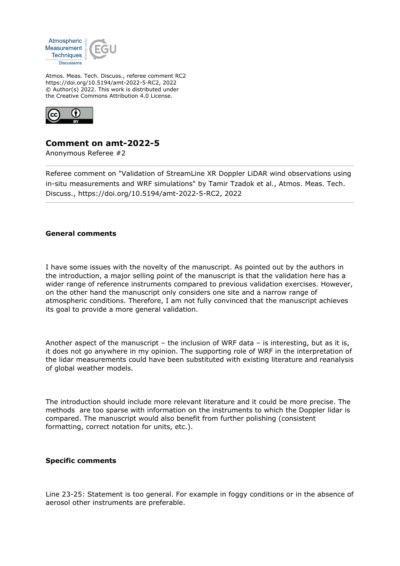

Atmos. Meas. Tech. Discuss., referee comment RC2 https://doi.org/10.5194/amt-2022-5-RC2, 2022 © Author(s) 2022. This work is distributed under the Creative Commons Attribution 4.0 License.



## **Comment on amt-2022-5**

Anonymous Referee #2

Referee comment on "Validation of StreamLine XR Doppler LiDAR wind observations using in-situ measurements and WRF simulations" by Tamir Tzadok et al., Atmos. Meas. Tech. Discuss., https://doi.org/10.5194/amt-2022-5-RC2, 2022

## **General comments**

I have some issues with the novelty of the manuscript. As pointed out by the authors in the introduction, a major selling point of the manuscript is that the validation here has a wider range of reference instruments compared to previous validation exercises. However, on the other hand the manuscript only considers one site and a narrow range of atmospheric conditions. Therefore, I am not fully convinced that the manuscript achieves its goal to provide a more general validation.

Another aspect of the manuscript – the inclusion of WRF data – is interesting, but as it is, it does not go anywhere in my opinion. The supporting role of WRF in the interpretation of the lidar measurements could have been substituted with existing literature and reanalysis of global weather models.

The introduction should include more relevant literature and it could be more precise. The methods are too sparse with information on the instruments to which the Doppler lidar is compared. The manuscript would also benefit from further polishing (consistent formatting, correct notation for units, etc.).

## **Specific comments**

Line 23-25: Statement is too general. For example in foggy conditions or in the absence of aerosol other instruments are preferable.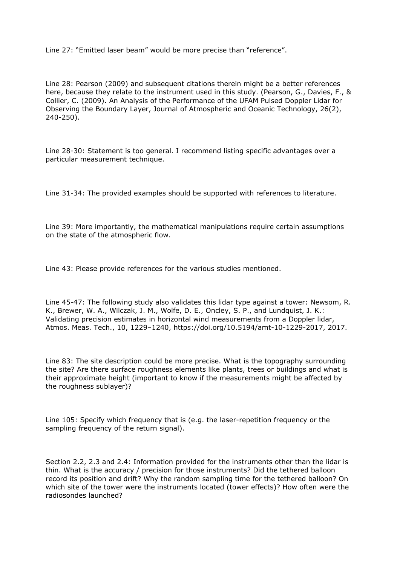Line 27: "Emitted laser beam" would be more precise than "reference".

Line 28: Pearson (2009) and subsequent citations therein might be a better references here, because they relate to the instrument used in this study. (Pearson, G., Davies, F., & Collier, C. (2009). An Analysis of the Performance of the UFAM Pulsed Doppler Lidar for Observing the Boundary Layer, Journal of Atmospheric and Oceanic Technology, 26(2), 240-250).

Line 28-30: Statement is too general. I recommend listing specific advantages over a particular measurement technique.

Line 31-34: The provided examples should be supported with references to literature.

Line 39: More importantly, the mathematical manipulations require certain assumptions on the state of the atmospheric flow.

Line 43: Please provide references for the various studies mentioned.

Line 45-47: The following study also validates this lidar type against a tower: Newsom, R. K., Brewer, W. A., Wilczak, J. M., Wolfe, D. E., Oncley, S. P., and Lundquist, J. K.: Validating precision estimates in horizontal wind measurements from a Doppler lidar, Atmos. Meas. Tech., 10, 1229–1240, https://doi.org/10.5194/amt-10-1229-2017, 2017.

Line 83: The site description could be more precise. What is the topography surrounding the site? Are there surface roughness elements like plants, trees or buildings and what is their approximate height (important to know if the measurements might be affected by the roughness sublayer)?

Line 105: Specify which frequency that is (e.g. the laser-repetition frequency or the sampling frequency of the return signal).

Section 2.2, 2.3 and 2.4: Information provided for the instruments other than the lidar is thin. What is the accuracy / precision for those instruments? Did the tethered balloon record its position and drift? Why the random sampling time for the tethered balloon? On which site of the tower were the instruments located (tower effects)? How often were the radiosondes launched?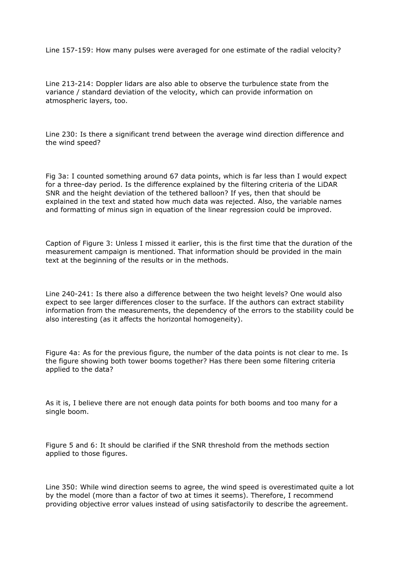Line 157-159: How many pulses were averaged for one estimate of the radial velocity?

Line 213-214: Doppler lidars are also able to observe the turbulence state from the variance / standard deviation of the velocity, which can provide information on atmospheric layers, too.

Line 230: Is there a significant trend between the average wind direction difference and the wind speed?

Fig 3a: I counted something around 67 data points, which is far less than I would expect for a three-day period. Is the difference explained by the filtering criteria of the LiDAR SNR and the height deviation of the tethered balloon? If yes, then that should be explained in the text and stated how much data was rejected. Also, the variable names and formatting of minus sign in equation of the linear regression could be improved.

Caption of Figure 3: Unless I missed it earlier, this is the first time that the duration of the measurement campaign is mentioned. That information should be provided in the main text at the beginning of the results or in the methods.

Line 240-241: Is there also a difference between the two height levels? One would also expect to see larger differences closer to the surface. If the authors can extract stability information from the measurements, the dependency of the errors to the stability could be also interesting (as it affects the horizontal homogeneity).

Figure 4a: As for the previous figure, the number of the data points is not clear to me. Is the figure showing both tower booms together? Has there been some filtering criteria applied to the data?

As it is, I believe there are not enough data points for both booms and too many for a single boom.

Figure 5 and 6: It should be clarified if the SNR threshold from the methods section applied to those figures.

Line 350: While wind direction seems to agree, the wind speed is overestimated quite a lot by the model (more than a factor of two at times it seems). Therefore, I recommend providing objective error values instead of using satisfactorily to describe the agreement.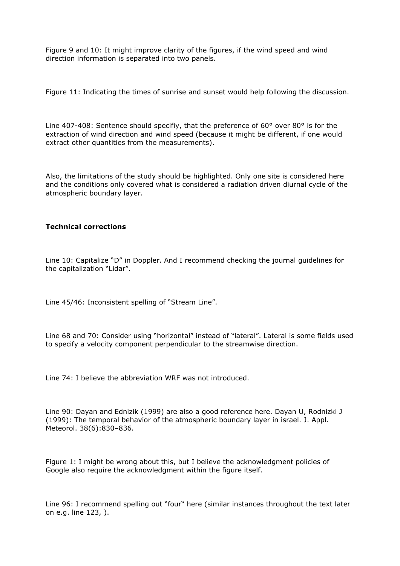Figure 9 and 10: It might improve clarity of the figures, if the wind speed and wind direction information is separated into two panels.

Figure 11: Indicating the times of sunrise and sunset would help following the discussion.

Line 407-408: Sentence should specifiy, that the preference of 60° over 80° is for the extraction of wind direction and wind speed (because it might be different, if one would extract other quantities from the measurements).

Also, the limitations of the study should be highlighted. Only one site is considered here and the conditions only covered what is considered a radiation driven diurnal cycle of the atmospheric boundary layer.

## **Technical corrections**

Line 10: Capitalize "D" in Doppler. And I recommend checking the journal guidelines for the capitalization "Lidar".

Line 45/46: Inconsistent spelling of "Stream Line".

Line 68 and 70: Consider using "horizontal" instead of "lateral". Lateral is some fields used to specify a velocity component perpendicular to the streamwise direction.

Line 74: I believe the abbreviation WRF was not introduced.

Line 90: Dayan and Ednizik (1999) are also a good reference here. Dayan U, Rodnizki J (1999): The temporal behavior of the atmospheric boundary layer in israel. J. Appl. Meteorol. 38(6):830–836.

Figure 1: I might be wrong about this, but I believe the acknowledgment policies of Google also require the acknowledgment within the figure itself.

Line 96: I recommend spelling out "four" here (similar instances throughout the text later on e.g. line 123, ).